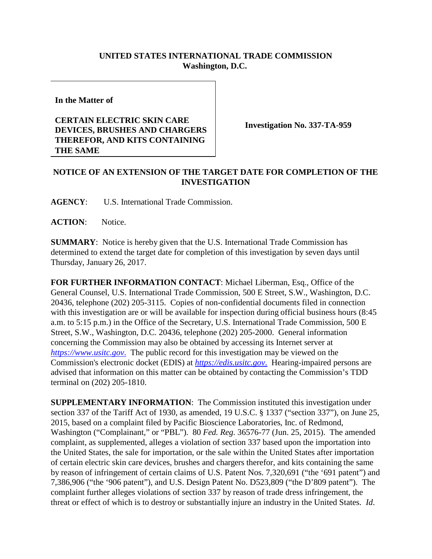## **UNITED STATES INTERNATIONAL TRADE COMMISSION Washington, D.C.**

**In the Matter of**

## **CERTAIN ELECTRIC SKIN CARE DEVICES, BRUSHES AND CHARGERS THEREFOR, AND KITS CONTAINING THE SAME**

**Investigation No. 337-TA-959**

## **NOTICE OF AN EXTENSION OF THE TARGET DATE FOR COMPLETION OF THE INVESTIGATION**

**AGENCY**: U.S. International Trade Commission.

**ACTION**: Notice.

**SUMMARY**: Notice is hereby given that the U.S. International Trade Commission has determined to extend the target date for completion of this investigation by seven days until Thursday, January 26, 2017.

**FOR FURTHER INFORMATION CONTACT**: Michael Liberman, Esq., Office of the General Counsel, U.S. International Trade Commission, 500 E Street, S.W., Washington, D.C. 20436, telephone (202) 205-3115. Copies of non-confidential documents filed in connection with this investigation are or will be available for inspection during official business hours (8:45 a.m. to 5:15 p.m.) in the Office of the Secretary, U.S. International Trade Commission, 500 E Street, S.W., Washington, D.C. 20436, telephone (202) 205-2000. General information concerning the Commission may also be obtained by accessing its Internet server at *[https://www.usitc.gov](https://www.usitc.gov./)*. The public record for this investigation may be viewed on the Commission's electronic docket (EDIS) at *[https://edis.usitc.gov](https://edis.usitc.gov./)*. Hearing-impaired persons are advised that information on this matter can be obtained by contacting the Commission's TDD terminal on (202) 205-1810.

**SUPPLEMENTARY INFORMATION**: The Commission instituted this investigation under section 337 of the Tariff Act of 1930, as amended, 19 U.S.C. § 1337 ("section 337"), on June 25, 2015, based on a complaint filed by Pacific Bioscience Laboratories, Inc. of Redmond, Washington ("Complainant," or "PBL"). 80 *Fed. Reg.* 36576-77 (Jun. 25, 2015). The amended complaint, as supplemented, alleges a violation of section 337 based upon the importation into the United States, the sale for importation, or the sale within the United States after importation of certain electric skin care devices, brushes and chargers therefor, and kits containing the same by reason of infringement of certain claims of U.S. Patent Nos. 7,320,691 ("the '691 patent") and 7,386,906 ("the '906 patent"), and U.S. Design Patent No. D523,809 ("the D'809 patent"). The complaint further alleges violations of section 337 by reason of trade dress infringement, the threat or effect of which is to destroy or substantially injure an industry in the United States. *Id*.